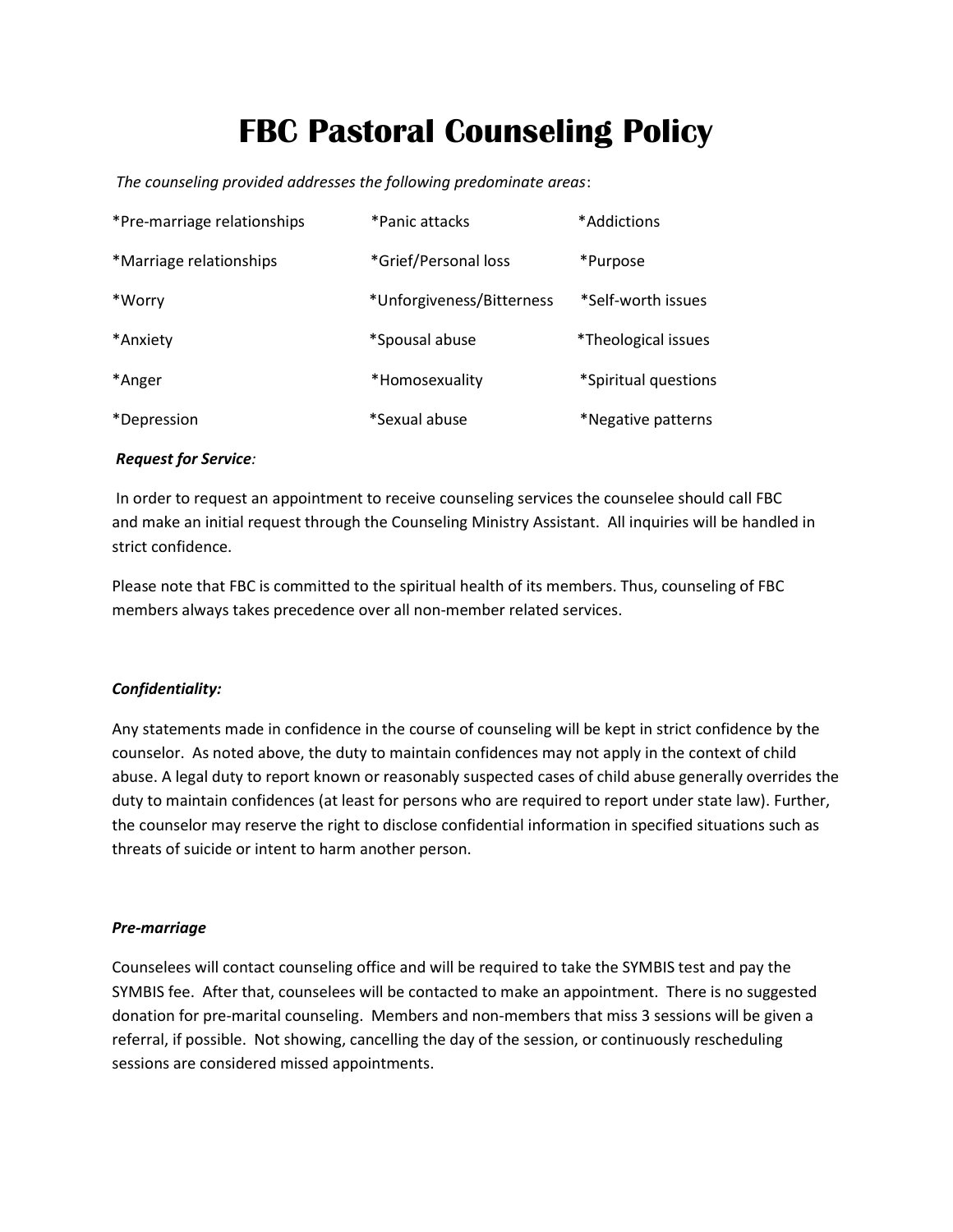# FBC Pastoral Counseling Policy

The counseling provided addresses the following predominate areas:

| *Pre-marriage relationships | *Panic attacks            | *Addictions*         |
|-----------------------------|---------------------------|----------------------|
| *Marriage relationships     | *Grief/Personal loss      | *Purpose             |
| *Worry                      | *Unforgiveness/Bitterness | *Self-worth issues   |
| *Anxiety                    | *Spousal abuse            | *Theological issues  |
| *Anger                      | *Homosexuality            | *Spiritual questions |
| <i>*Depression</i>          | *Sexual abuse             | *Negative patterns   |

#### Request for Service:

 In order to request an appointment to receive counseling services the counselee should call FBC and make an initial request through the Counseling Ministry Assistant. All inquiries will be handled in strict confidence.

Please note that FBC is committed to the spiritual health of its members. Thus, counseling of FBC members always takes precedence over all non-member related services.

#### Confidentiality:

Any statements made in confidence in the course of counseling will be kept in strict confidence by the counselor. As noted above, the duty to maintain confidences may not apply in the context of child abuse. A legal duty to report known or reasonably suspected cases of child abuse generally overrides the duty to maintain confidences (at least for persons who are required to report under state law). Further, the counselor may reserve the right to disclose confidential information in specified situations such as threats of suicide or intent to harm another person.

#### Pre-marriage

Counselees will contact counseling office and will be required to take the SYMBIS test and pay the SYMBIS fee. After that, counselees will be contacted to make an appointment. There is no suggested donation for pre-marital counseling. Members and non-members that miss 3 sessions will be given a referral, if possible. Not showing, cancelling the day of the session, or continuously rescheduling sessions are considered missed appointments.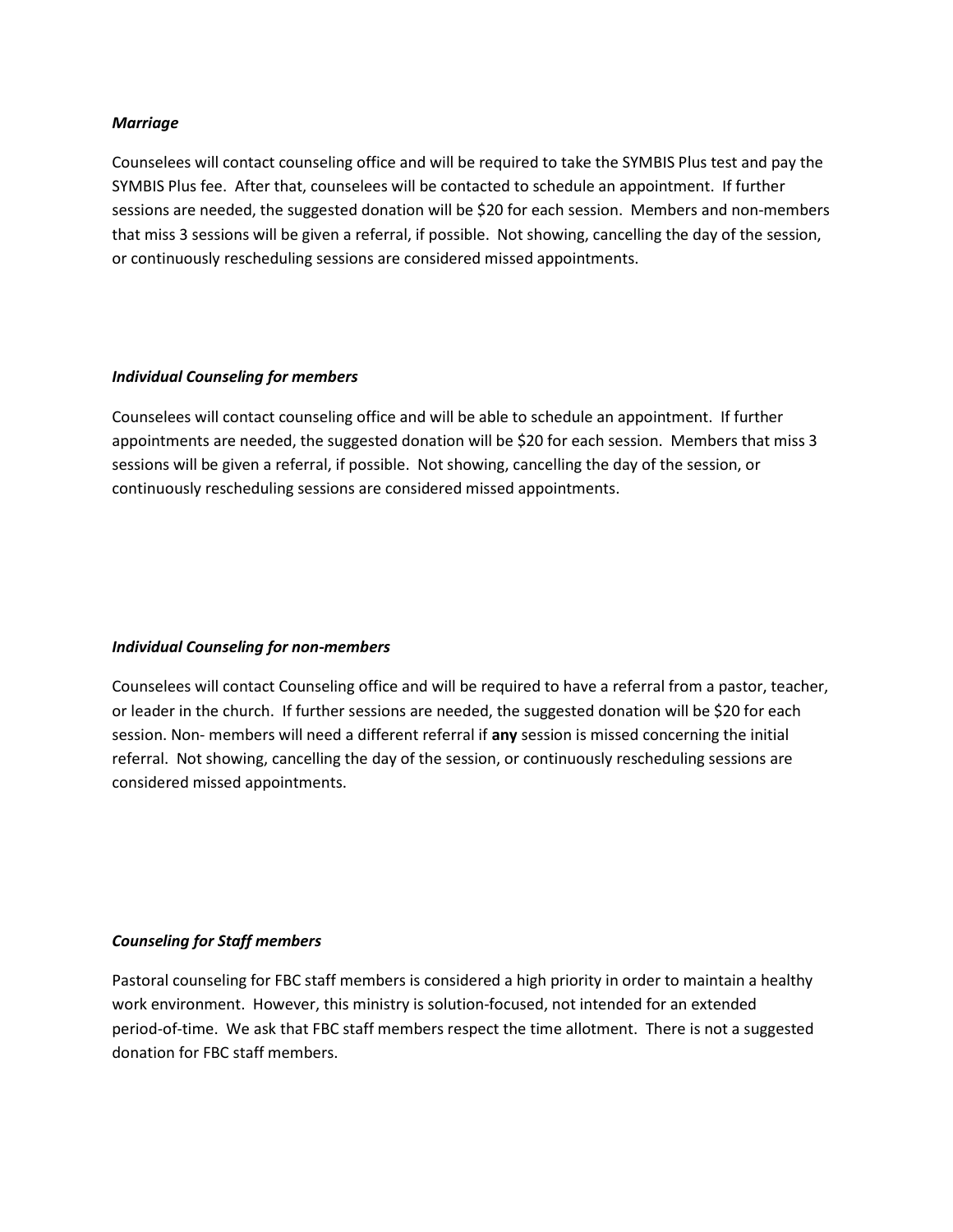#### Marriage

Counselees will contact counseling office and will be required to take the SYMBIS Plus test and pay the SYMBIS Plus fee. After that, counselees will be contacted to schedule an appointment. If further sessions are needed, the suggested donation will be \$20 for each session. Members and non-members that miss 3 sessions will be given a referral, if possible. Not showing, cancelling the day of the session, or continuously rescheduling sessions are considered missed appointments.

#### Individual Counseling for members

Counselees will contact counseling office and will be able to schedule an appointment. If further appointments are needed, the suggested donation will be \$20 for each session. Members that miss 3 sessions will be given a referral, if possible. Not showing, cancelling the day of the session, or continuously rescheduling sessions are considered missed appointments.

#### Individual Counseling for non-members

Counselees will contact Counseling office and will be required to have a referral from a pastor, teacher, or leader in the church. If further sessions are needed, the suggested donation will be \$20 for each session. Non- members will need a different referral if any session is missed concerning the initial referral. Not showing, cancelling the day of the session, or continuously rescheduling sessions are considered missed appointments.

#### Counseling for Staff members

Pastoral counseling for FBC staff members is considered a high priority in order to maintain a healthy work environment. However, this ministry is solution-focused, not intended for an extended period-of-time. We ask that FBC staff members respect the time allotment. There is not a suggested donation for FBC staff members.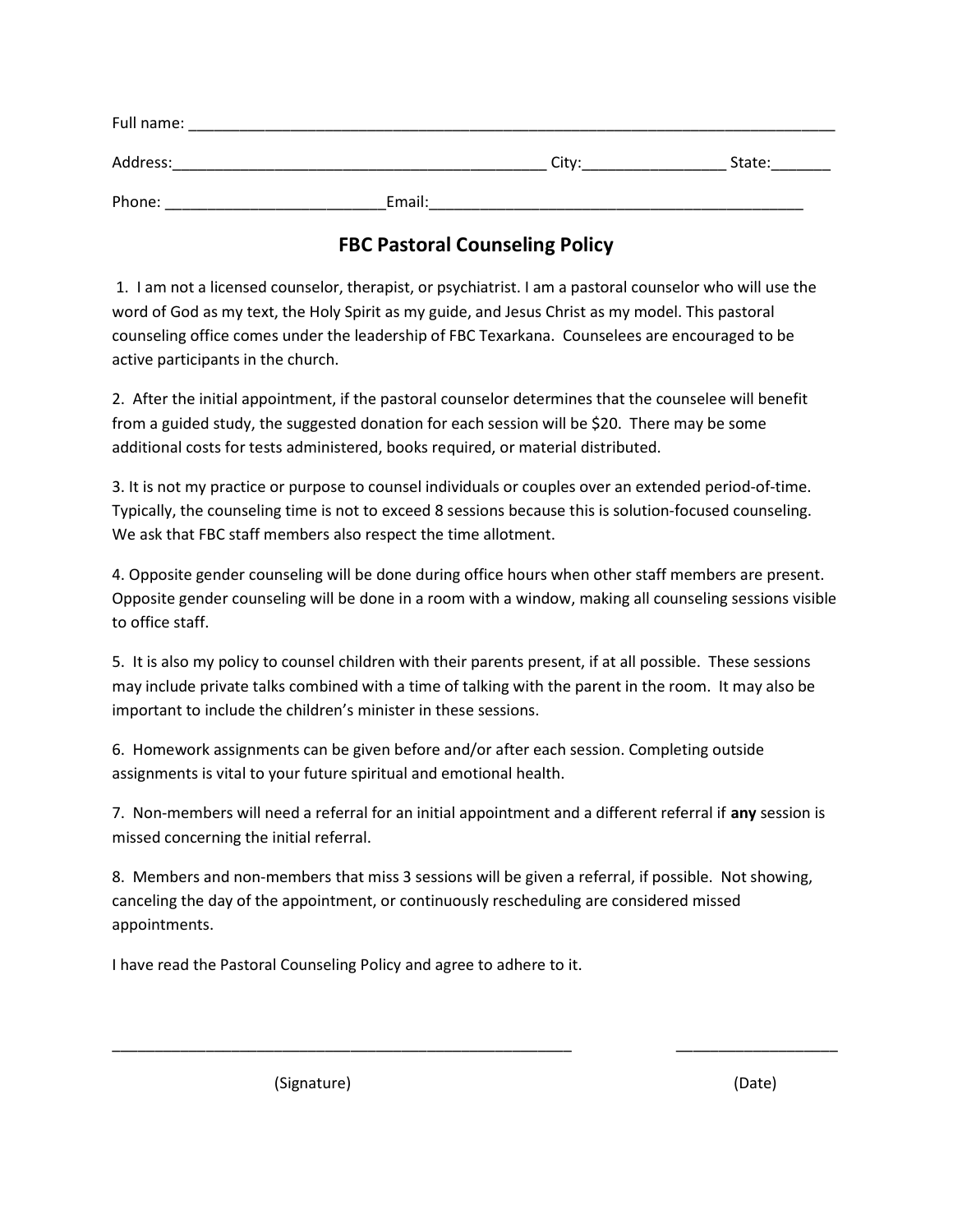| Full name: |        |       |        |
|------------|--------|-------|--------|
| Address:   |        | City: | State: |
| Phone:     | Email: |       |        |

### FBC Pastoral Counseling Policy

 1. I am not a licensed counselor, therapist, or psychiatrist. I am a pastoral counselor who will use the word of God as my text, the Holy Spirit as my guide, and Jesus Christ as my model. This pastoral counseling office comes under the leadership of FBC Texarkana. Counselees are encouraged to be active participants in the church.

2. After the initial appointment, if the pastoral counselor determines that the counselee will benefit from a guided study, the suggested donation for each session will be \$20. There may be some additional costs for tests administered, books required, or material distributed.

3. It is not my practice or purpose to counsel individuals or couples over an extended period-of-time. Typically, the counseling time is not to exceed 8 sessions because this is solution-focused counseling. We ask that FBC staff members also respect the time allotment.

4. Opposite gender counseling will be done during office hours when other staff members are present. Opposite gender counseling will be done in a room with a window, making all counseling sessions visible to office staff.

5. It is also my policy to counsel children with their parents present, if at all possible. These sessions may include private talks combined with a time of talking with the parent in the room. It may also be important to include the children's minister in these sessions.

6. Homework assignments can be given before and/or after each session. Completing outside assignments is vital to your future spiritual and emotional health.

7. Non-members will need a referral for an initial appointment and a different referral if any session is missed concerning the initial referral.

8. Members and non-members that miss 3 sessions will be given a referral, if possible. Not showing, canceling the day of the appointment, or continuously rescheduling are considered missed appointments.

\_\_\_\_\_\_\_\_\_\_\_\_\_\_\_\_\_\_\_\_\_\_\_\_\_\_\_\_\_\_\_\_\_\_\_\_\_\_\_\_\_\_\_\_\_\_\_\_\_\_\_\_\_\_ \_\_\_\_\_\_\_\_\_\_\_\_\_\_\_\_\_\_\_

I have read the Pastoral Counseling Policy and agree to adhere to it.